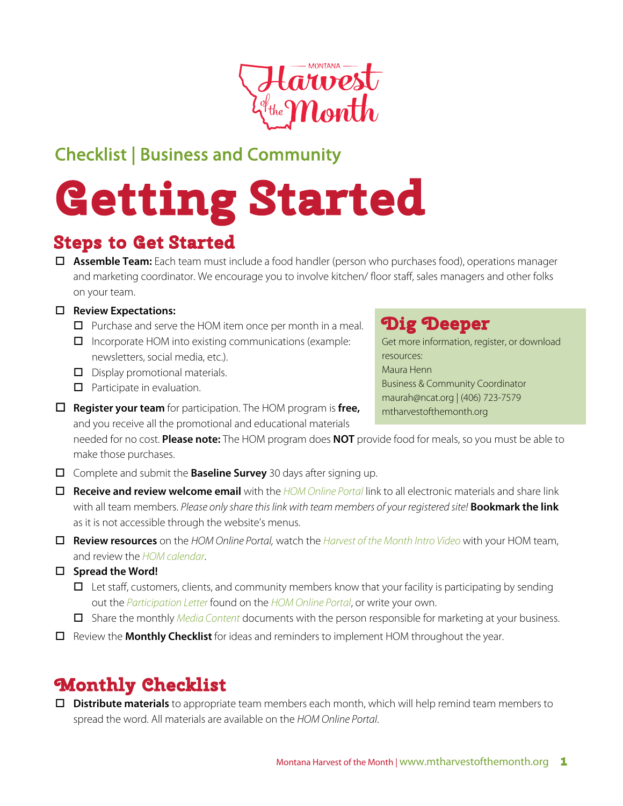

## Checklist | Business and Community

# **Getting Started**

## **Steps to Get Started**

□ **Assemble Team:** Each team must include a food handler (person who purchases food), operations manager and marketing coordinator. We encourage you to involve kitchen/ floor staff, sales managers and other folks on your team.

#### □ Review Expectations:

- $\Box$  Purchase and serve the HOM item once per month in a meal.
- $\Box$  Incorporate HOM into existing communications (example: newsletters, social media, etc.).
- $\Box$  Display promotional materials.
- $\Box$  Participate in evaluation.
- o **Register your team** for participation. The HOM program is **free,**  and you receive all the promotional and educational materials

needed for no cost. **Please note:** The HOM program does **NOT** provide food for meals, so you must be able to make those purchases. Ĩ

- □ Complete and submit the **Baseline Survey** 30 days after signing up.
- o **Receive and review welcome email** with the *[HOM Online Portal](http://www.montana.edu/mtharvestofthemonth/bc/index.html)* link to all electronic materials and share link with all team members. *Please only share this link with team members of your registered site!* **Bookmark the link** as it is not accessible through the website's menus.
- o **Review resources** on the *HOM Online P*o*rtal,* watch the *[Harvest of the Month Intro Video](https://youtu.be/x1sawNi6dqI)* with your HOM team, and review the *HOM calendar*.
- □ Spread the Word!
	- $\Box$  Let staff, customers, clients, and community members know that your facility is participating by sending out the *Participation Letter* found on the *[HOM Online Portal](http://www.montana.edu/mtharvestofthemonth/bc/index.html)*, or write your own.
	- **O** Share the monthly *Media* Content documents with the person responsible for marketing at your business.
- o Review the **Monthly Checklist** for ideas and reminders to implement HOM throughout the year.

## **Monthly Checklist**

**Distribute materials** to appropriate team members each month, which will help remind team members to spread the word. All materials are available on the *HOM Online Portal*.

## **Dig Deeper**

Get more information, register, or download resources: Maura Henn Business & Community Coordinator maurah@ncat.org | (406) 723-7579 mtharvestofthemonth.org